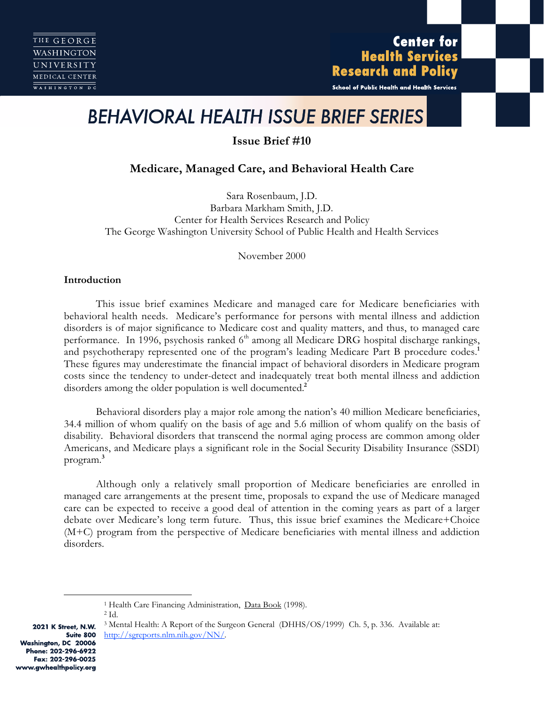# **Center for Health Services Research and Policy**

School of Public Health and Health Services

# *BEHAVIORAL HEALTH ISSUE BRIEF SERIES*

**Issue Brief #10**

# **Medicare, Managed Care, and Behavioral Health Care**

Sara Rosenbaum, J.D. Barbara Markham Smith, J.D. Center for Health Services Research and Policy The George Washington University School of Public Health and Health Services

November 2000

# **Introduction**

This issue brief examines Medicare and managed care for Medicare beneficiaries with behavioral health needs. Medicare's performance for persons with mental illness and addiction disorders is of major significance to Medicare cost and quality matters, and thus, to managed care performance. In 1996, psychosis ranked  $6<sup>th</sup>$  among all Medicare DRG hospital discharge rankings, and psychotherapy represented one of the program's leading Medicare Part B procedure codes.**<sup>1</sup>** These figures may underestimate the financial impact of behavioral disorders in Medicare program costs since the tendency to under-detect and inadequately treat both mental illness and addiction disorders among the older population is well documented.**<sup>2</sup>**

Behavioral disorders play a major role among the nation's 40 million Medicare beneficiaries, 34.4 million of whom qualify on the basis of age and 5.6 million of whom qualify on the basis of disability. Behavioral disorders that transcend the normal aging process are common among older Americans, and Medicare plays a significant role in the Social Security Disability Insurance (SSDI) program.**<sup>3</sup>**

Although only a relatively small proportion of Medicare beneficiaries are enrolled in managed care arrangements at the present time, proposals to expand the use of Medicare managed care can be expected to receive a good deal of attention in the coming years as part of a larger debate over Medicare's long term future. Thus, this issue brief examines the Medicare+Choice (M+C) program from the perspective of Medicare beneficiaries with mental illness and addiction disorders.

<sup>1</sup> Health Care Financing Administration, Data Book (1998).

2 Id.

2021 K Street, N.W. Suite 800 Washington, DC 20006 Phone: 202-296-6922 Fax: 202-296-0025 www.gwhealthpolicy.org

<sup>3</sup> Mental Health: A Report of the Surgeon General (DHHS/OS/1999) Ch. 5, p. 336. Available at: http://sgreports.nlm.nih.gov/NN/.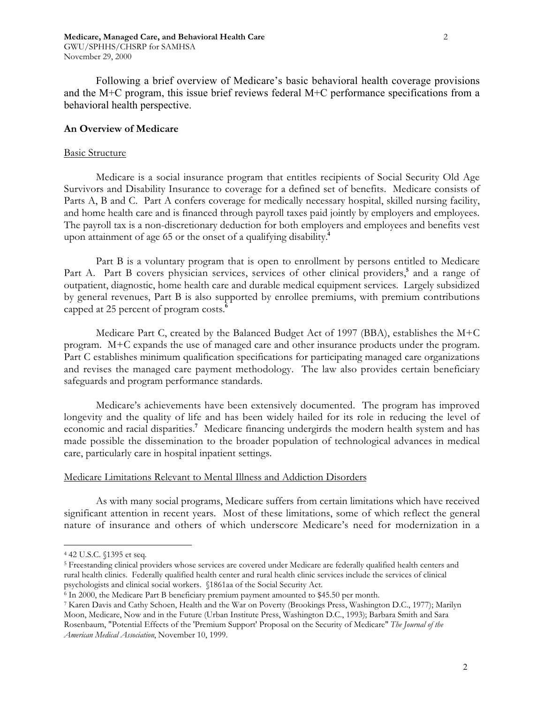Following a brief overview of Medicare's basic behavioral health coverage provisions and the M+C program, this issue brief reviews federal M+C performance specifications from a behavioral health perspective.

### **An Overview of Medicare**

#### Basic Structure

Medicare is a social insurance program that entitles recipients of Social Security Old Age Survivors and Disability Insurance to coverage for a defined set of benefits. Medicare consists of Parts A, B and C. Part A confers coverage for medically necessary hospital, skilled nursing facility, and home health care and is financed through payroll taxes paid jointly by employers and employees. The payroll tax is a non-discretionary deduction for both employers and employees and benefits vest upon attainment of age 65 or the onset of a qualifying disability.**<sup>4</sup>**

Part B is a voluntary program that is open to enrollment by persons entitled to Medicare Part A. Part B covers physician services, services of other clinical providers,**<sup>5</sup>** and a range of outpatient, diagnostic, home health care and durable medical equipment services. Largely subsidized by general revenues, Part B is also supported by enrollee premiums, with premium contributions capped at 25 percent of program costs.**<sup>6</sup>**

Medicare Part C, created by the Balanced Budget Act of 1997 (BBA), establishes the M+C program. M+C expands the use of managed care and other insurance products under the program. Part C establishes minimum qualification specifications for participating managed care organizations and revises the managed care payment methodology. The law also provides certain beneficiary safeguards and program performance standards.

Medicare's achievements have been extensively documented. The program has improved longevity and the quality of life and has been widely hailed for its role in reducing the level of economic and racial disparities.**<sup>7</sup>** Medicare financing undergirds the modern health system and has made possible the dissemination to the broader population of technological advances in medical care, particularly care in hospital inpatient settings.

#### Medicare Limitations Relevant to Mental Illness and Addiction Disorders

As with many social programs, Medicare suffers from certain limitations which have received significant attention in recent years. Most of these limitations, some of which reflect the general nature of insurance and others of which underscore Medicare's need for modernization in a

<sup>4 42</sup> U.S.C. §1395 et seq.

<sup>5</sup> Freestanding clinical providers whose services are covered under Medicare are federally qualified health centers and rural health clinics. Federally qualified health center and rural health clinic services include the services of clinical psychologists and clinical social workers. §1861aa of the Social Security Act.

<sup>6</sup> In 2000, the Medicare Part B beneficiary premium payment amounted to \$45.50 per month.

<sup>7</sup> Karen Davis and Cathy Schoen, Health and the War on Poverty (Brookings Press, Washington D.C., 1977); Marilyn Moon, Medicare, Now and in the Future (Urban Institute Press, Washington D.C., 1993); Barbara Smith and Sara Rosenbaum, "Potential Effects of the 'Premium Support' Proposal on the Security of Medicare" *The Journal of the American Medical Association*, November 10, 1999.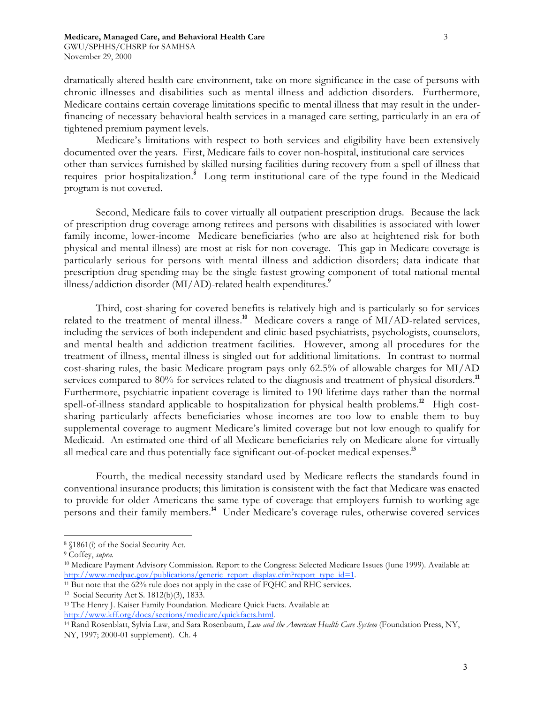dramatically altered health care environment, take on more significance in the case of persons with chronic illnesses and disabilities such as mental illness and addiction disorders. Furthermore, Medicare contains certain coverage limitations specific to mental illness that may result in the underfinancing of necessary behavioral health services in a managed care setting, particularly in an era of tightened premium payment levels.

Medicare's limitations with respect to both services and eligibility have been extensively documented over the years. First, Medicare fails to cover non-hospital, institutional care services other than services furnished by skilled nursing facilities during recovery from a spell of illness that requires prior hospitalization.**<sup>8</sup>** Long term institutional care of the type found in the Medicaid program is not covered.

Second, Medicare fails to cover virtually all outpatient prescription drugs. Because the lack of prescription drug coverage among retirees and persons with disabilities is associated with lower family income, lower-income Medicare beneficiaries (who are also at heightened risk for both physical and mental illness) are most at risk for non-coverage. This gap in Medicare coverage is particularly serious for persons with mental illness and addiction disorders; data indicate that prescription drug spending may be the single fastest growing component of total national mental illness/addiction disorder (MI/AD)-related health expenditures.**<sup>9</sup>**

Third, cost-sharing for covered benefits is relatively high and is particularly so for services related to the treatment of mental illness.**<sup>10</sup>** Medicare covers a range of MI/AD-related services, including the services of both independent and clinic-based psychiatrists, psychologists, counselors, and mental health and addiction treatment facilities. However, among all procedures for the treatment of illness, mental illness is singled out for additional limitations. In contrast to normal cost-sharing rules, the basic Medicare program pays only 62.5% of allowable charges for MI/AD services compared to 80% for services related to the diagnosis and treatment of physical disorders.**<sup>11</sup>** Furthermore, psychiatric inpatient coverage is limited to 190 lifetime days rather than the normal spell-of-illness standard applicable to hospitalization for physical health problems.**<sup>12</sup>** High costsharing particularly affects beneficiaries whose incomes are too low to enable them to buy supplemental coverage to augment Medicare's limited coverage but not low enough to qualify for Medicaid. An estimated one-third of all Medicare beneficiaries rely on Medicare alone for virtually all medical care and thus potentially face significant out-of-pocket medical expenses.**<sup>13</sup>**

Fourth, the medical necessity standard used by Medicare reflects the standards found in conventional insurance products; this limitation is consistent with the fact that Medicare was enacted to provide for older Americans the same type of coverage that employers furnish to working age persons and their family members.**<sup>14</sup>** Under Medicare's coverage rules, otherwise covered services

- <sup>11</sup> But note that the 62% rule does not apply in the case of FQHC and RHC services.
- 12 Social Security Act S. 1812(b)(3), 1833.

<sup>8 §1861(</sup>i) of the Social Security Act.

<sup>9</sup> Coffey, *supra.*

<sup>10</sup> Medicare Payment Advisory Commission. Report to the Congress: Selected Medicare Issues (June 1999). Available at: http://www.medpac.gov/publications/generic\_report\_display.cfm?report\_type\_id=1.

<sup>13</sup> The Henry J. Kaiser Family Foundation. Medicare Quick Facts. Available at: http://www.kff.org/docs/sections/medicare/quickfacts.html.

<sup>14</sup> Rand Rosenblatt, Sylvia Law, and Sara Rosenbaum, *Law and the American Health Care System* (Foundation Press, NY, NY, 1997; 2000-01 supplement). Ch. 4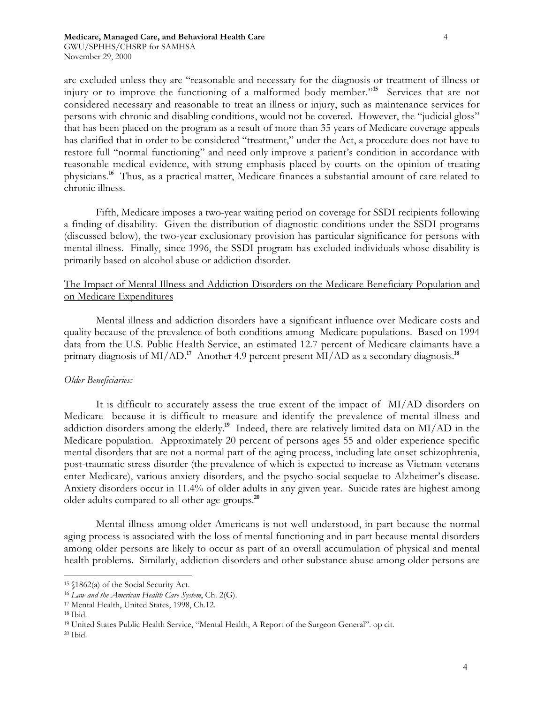are excluded unless they are "reasonable and necessary for the diagnosis or treatment of illness or injury or to improve the functioning of a malformed body member."**<sup>15</sup>** Services that are not considered necessary and reasonable to treat an illness or injury, such as maintenance services for persons with chronic and disabling conditions, would not be covered. However, the "judicial gloss" that has been placed on the program as a result of more than 35 years of Medicare coverage appeals has clarified that in order to be considered "treatment," under the Act, a procedure does not have to restore full "normal functioning" and need only improve a patient's condition in accordance with reasonable medical evidence, with strong emphasis placed by courts on the opinion of treating physicians.**<sup>16</sup>** Thus, as a practical matter, Medicare finances a substantial amount of care related to chronic illness.

Fifth, Medicare imposes a two-year waiting period on coverage for SSDI recipients following a finding of disability. Given the distribution of diagnostic conditions under the SSDI programs (discussed below), the two-year exclusionary provision has particular significance for persons with mental illness. Finally, since 1996, the SSDI program has excluded individuals whose disability is primarily based on alcohol abuse or addiction disorder.

# The Impact of Mental Illness and Addiction Disorders on the Medicare Beneficiary Population and on Medicare Expenditures

Mental illness and addiction disorders have a significant influence over Medicare costs and quality because of the prevalence of both conditions among Medicare populations. Based on 1994 data from the U.S. Public Health Service, an estimated 12.7 percent of Medicare claimants have a primary diagnosis of MI/AD.**<sup>17</sup>** Another 4.9 percent present MI/AD as a secondary diagnosis.**<sup>18</sup>**

# *Older Beneficiaries:*

It is difficult to accurately assess the true extent of the impact of MI/AD disorders on Medicare because it is difficult to measure and identify the prevalence of mental illness and addiction disorders among the elderly.**<sup>19</sup>** Indeed, there are relatively limited data on MI/AD in the Medicare population. Approximately 20 percent of persons ages 55 and older experience specific mental disorders that are not a normal part of the aging process, including late onset schizophrenia, post-traumatic stress disorder (the prevalence of which is expected to increase as Vietnam veterans enter Medicare), various anxiety disorders, and the psycho-social sequelae to Alzheimer's disease. Anxiety disorders occur in 11.4% of older adults in any given year. Suicide rates are highest among older adults compared to all other age-groups.**<sup>20</sup>**

Mental illness among older Americans is not well understood, in part because the normal aging process is associated with the loss of mental functioning and in part because mental disorders among older persons are likely to occur as part of an overall accumulation of physical and mental health problems. Similarly, addiction disorders and other substance abuse among older persons are

<sup>15 §1862(</sup>a) of the Social Security Act.

<sup>16</sup> *Law and the American Health Care System*, Ch. 2(G).

<sup>17</sup> Mental Health, United States, 1998, Ch.12.

<sup>18</sup> Ibid.

<sup>19</sup> United States Public Health Service, "Mental Health, A Report of the Surgeon General". op cit.

<sup>20</sup> Ibid.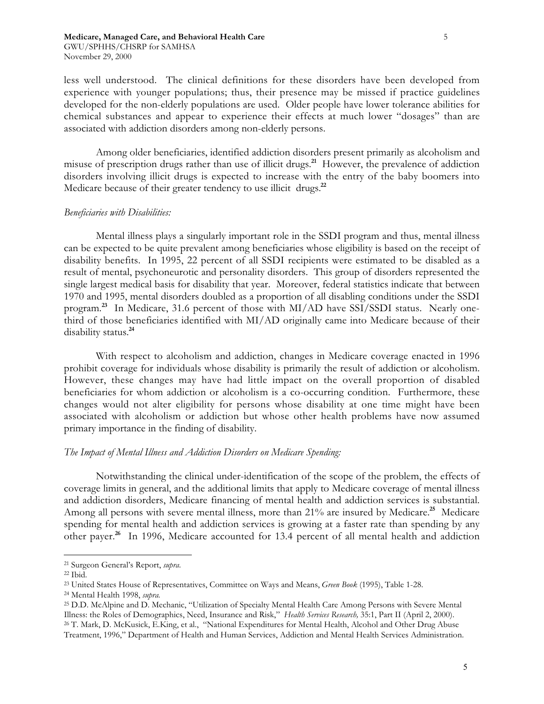less well understood. The clinical definitions for these disorders have been developed from experience with younger populations; thus, their presence may be missed if practice guidelines developed for the non-elderly populations are used. Older people have lower tolerance abilities for chemical substances and appear to experience their effects at much lower "dosages" than are associated with addiction disorders among non-elderly persons.

Among older beneficiaries, identified addiction disorders present primarily as alcoholism and misuse of prescription drugs rather than use of illicit drugs.**<sup>21</sup>** However, the prevalence of addiction disorders involving illicit drugs is expected to increase with the entry of the baby boomers into Medicare because of their greater tendency to use illicit drugs.**<sup>22</sup>**

#### *Beneficiaries with Disabilities:*

Mental illness plays a singularly important role in the SSDI program and thus, mental illness can be expected to be quite prevalent among beneficiaries whose eligibility is based on the receipt of disability benefits. In 1995, 22 percent of all SSDI recipients were estimated to be disabled as a result of mental, psychoneurotic and personality disorders. This group of disorders represented the single largest medical basis for disability that year. Moreover, federal statistics indicate that between 1970 and 1995, mental disorders doubled as a proportion of all disabling conditions under the SSDI program.**<sup>23</sup>** In Medicare, 31.6 percent of those with MI/AD have SSI/SSDI status. Nearly onethird of those beneficiaries identified with MI/AD originally came into Medicare because of their disability status.**<sup>24</sup>**

With respect to alcoholism and addiction, changes in Medicare coverage enacted in 1996 prohibit coverage for individuals whose disability is primarily the result of addiction or alcoholism. However, these changes may have had little impact on the overall proportion of disabled beneficiaries for whom addiction or alcoholism is a co-occurring condition. Furthermore, these changes would not alter eligibility for persons whose disability at one time might have been associated with alcoholism or addiction but whose other health problems have now assumed primary importance in the finding of disability.

#### *The Impact of Mental Illness and Addiction Disorders on Medicare Spending:*

Notwithstanding the clinical under-identification of the scope of the problem, the effects of coverage limits in general, and the additional limits that apply to Medicare coverage of mental illness and addiction disorders, Medicare financing of mental health and addiction services is substantial. Among all persons with severe mental illness, more than 21% are insured by Medicare.**<sup>25</sup>** Medicare spending for mental health and addiction services is growing at a faster rate than spending by any other payer.**<sup>26</sup>** In 1996, Medicare accounted for 13.4 percent of all mental health and addiction

<sup>21</sup> Surgeon General's Report, *supra.*

<sup>22</sup> Ibid.

<sup>23</sup> United States House of Representatives, Committee on Ways and Means, *Green Book* (1995), Table 1-28.

<sup>24</sup> Mental Health 1998, *supra.*

<sup>25</sup> D.D. McAlpine and D. Mechanic, "Utilization of Specialty Mental Health Care Among Persons with Severe Mental Illness: the Roles of Demographics, Need, Insurance and Risk," *Health Services Research,* 35:1, Part II (April 2, 2000). 26 T. Mark, D. McKusick, E.King, et al., "National Expenditures for Mental Health, Alcohol and Other Drug Abuse Treatment, 1996," Department of Health and Human Services, Addiction and Mental Health Services Administration.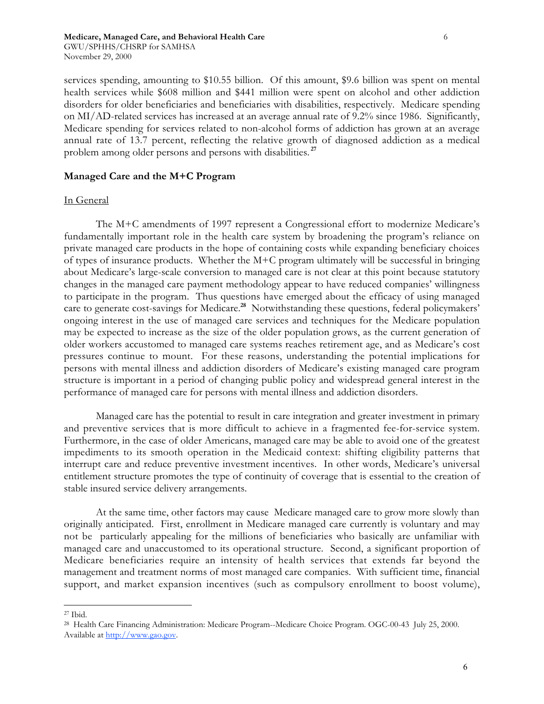services spending, amounting to \$10.55 billion. Of this amount, \$9.6 billion was spent on mental health services while \$608 million and \$441 million were spent on alcohol and other addiction disorders for older beneficiaries and beneficiaries with disabilities, respectively. Medicare spending on MI/AD-related services has increased at an average annual rate of 9.2% since 1986. Significantly, Medicare spending for services related to non-alcohol forms of addiction has grown at an average annual rate of 13.7 percent, reflecting the relative growth of diagnosed addiction as a medical problem among older persons and persons with disabilities. **<sup>27</sup>**

# **Managed Care and the M+C Program**

# In General

The M+C amendments of 1997 represent a Congressional effort to modernize Medicare's fundamentally important role in the health care system by broadening the program's reliance on private managed care products in the hope of containing costs while expanding beneficiary choices of types of insurance products. Whether the M+C program ultimately will be successful in bringing about Medicare's large-scale conversion to managed care is not clear at this point because statutory changes in the managed care payment methodology appear to have reduced companies' willingness to participate in the program. Thus questions have emerged about the efficacy of using managed care to generate cost-savings for Medicare.**<sup>28</sup>** Notwithstanding these questions, federal policymakers' ongoing interest in the use of managed care services and techniques for the Medicare population may be expected to increase as the size of the older population grows, as the current generation of older workers accustomed to managed care systems reaches retirement age, and as Medicare's cost pressures continue to mount. For these reasons, understanding the potential implications for persons with mental illness and addiction disorders of Medicare's existing managed care program structure is important in a period of changing public policy and widespread general interest in the performance of managed care for persons with mental illness and addiction disorders.

Managed care has the potential to result in care integration and greater investment in primary and preventive services that is more difficult to achieve in a fragmented fee-for-service system. Furthermore, in the case of older Americans, managed care may be able to avoid one of the greatest impediments to its smooth operation in the Medicaid context: shifting eligibility patterns that interrupt care and reduce preventive investment incentives. In other words, Medicare's universal entitlement structure promotes the type of continuity of coverage that is essential to the creation of stable insured service delivery arrangements.

At the same time, other factors may cause Medicare managed care to grow more slowly than originally anticipated. First, enrollment in Medicare managed care currently is voluntary and may not be particularly appealing for the millions of beneficiaries who basically are unfamiliar with managed care and unaccustomed to its operational structure. Second, a significant proportion of Medicare beneficiaries require an intensity of health services that extends far beyond the management and treatment norms of most managed care companies. With sufficient time, financial support, and market expansion incentives (such as compulsory enrollment to boost volume),

<sup>27</sup> Ibid.

<sup>28</sup> Health Care Financing Administration: Medicare Program--Medicare Choice Program. OGC-00-43 July 25, 2000. Available at http://www.gao.gov.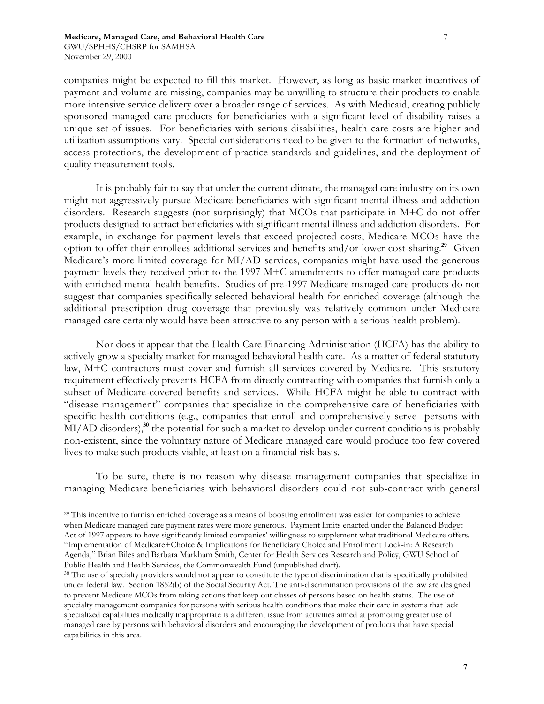companies might be expected to fill this market. However, as long as basic market incentives of payment and volume are missing, companies may be unwilling to structure their products to enable more intensive service delivery over a broader range of services. As with Medicaid, creating publicly sponsored managed care products for beneficiaries with a significant level of disability raises a unique set of issues. For beneficiaries with serious disabilities, health care costs are higher and utilization assumptions vary. Special considerations need to be given to the formation of networks, access protections, the development of practice standards and guidelines, and the deployment of quality measurement tools.

It is probably fair to say that under the current climate, the managed care industry on its own might not aggressively pursue Medicare beneficiaries with significant mental illness and addiction disorders. Research suggests (not surprisingly) that MCOs that participate in M+C do not offer products designed to attract beneficiaries with significant mental illness and addiction disorders. For example, in exchange for payment levels that exceed projected costs, Medicare MCOs have the option to offer their enrollees additional services and benefits and/or lower cost-sharing.**<sup>29</sup>** Given Medicare's more limited coverage for MI/AD services, companies might have used the generous payment levels they received prior to the 1997 M+C amendments to offer managed care products with enriched mental health benefits. Studies of pre-1997 Medicare managed care products do not suggest that companies specifically selected behavioral health for enriched coverage (although the additional prescription drug coverage that previously was relatively common under Medicare managed care certainly would have been attractive to any person with a serious health problem).

Nor does it appear that the Health Care Financing Administration (HCFA) has the ability to actively grow a specialty market for managed behavioral health care. As a matter of federal statutory law, M+C contractors must cover and furnish all services covered by Medicare. This statutory requirement effectively prevents HCFA from directly contracting with companies that furnish only a subset of Medicare-covered benefits and services. While HCFA might be able to contract with "disease management" companies that specialize in the comprehensive care of beneficiaries with specific health conditions (e.g., companies that enroll and comprehensively serve persons with MI/AD disorders),**<sup>30</sup>** the potential for such a market to develop under current conditions is probably non-existent, since the voluntary nature of Medicare managed care would produce too few covered lives to make such products viable, at least on a financial risk basis.

To be sure, there is no reason why disease management companies that specialize in managing Medicare beneficiaries with behavioral disorders could not sub-contract with general

<sup>29</sup> This incentive to furnish enriched coverage as a means of boosting enrollment was easier for companies to achieve when Medicare managed care payment rates were more generous. Payment limits enacted under the Balanced Budget Act of 1997 appears to have significantly limited companies' willingness to supplement what traditional Medicare offers. "Implementation of Medicare+Choice & Implications for Beneficiary Choice and Enrollment Lock-in: A Research Agenda," Brian Biles and Barbara Markham Smith, Center for Health Services Research and Policy, GWU School of Public Health and Health Services, the Commonwealth Fund (unpublished draft).

<sup>&</sup>lt;sup>38</sup> The use of specialty providers would not appear to constitute the type of discrimination that is specifically prohibited under federal law. Section 1852(b) of the Social Security Act. The anti-discrimination provisions of the law are designed to prevent Medicare MCOs from taking actions that keep out classes of persons based on health status. The use of specialty management companies for persons with serious health conditions that make their care in systems that lack specialized capabilities medically inappropriate is a different issue from activities aimed at promoting greater use of managed care by persons with behavioral disorders and encouraging the development of products that have special capabilities in this area.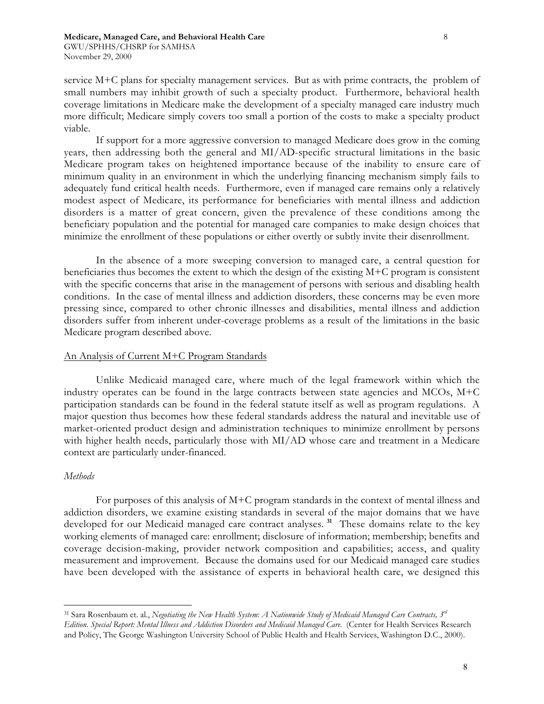service M+C plans for specialty management services. But as with prime contracts, the problem of small numbers may inhibit growth of such a specialty product. Furthermore, behavioral health coverage limitations in Medicare make the development of a specialty managed care industry much more difficult; Medicare simply covers too small a portion of the costs to make a specialty product viable.

If support for a more aggressive conversion to managed Medicare does grow in the coming years, then addressing both the general and MI/AD-specific structural limitations in the basic Medicare program takes on heightened importance because of the inability to ensure care of minimum quality in an environment in which the underlying financing mechanism simply fails to adequately fund critical health needs. Furthermore, even if managed care remains only a relatively modest aspect of Medicare, its performance for beneficiaries with mental illness and addiction disorders is a matter of great concern, given the prevalence of these conditions among the beneficiary population and the potential for managed care companies to make design choices that minimize the enrollment of these populations or either overtly or subtly invite their disenrollment.

In the absence of a more sweeping conversion to managed care, a central question for beneficiaries thus becomes the extent to which the design of the existing M+C program is consistent with the specific concerns that arise in the management of persons with serious and disabling health conditions. In the case of mental illness and addiction disorders, these concerns may be even more pressing since, compared to other chronic illnesses and disabilities, mental illness and addiction disorders suffer from inherent under-coverage problems as a result of the limitations in the basic Medicare program described above.

# An Analysis of Current M+C Program Standards

Unlike Medicaid managed care, where much of the legal framework within which the industry operates can be found in the large contracts between state agencies and MCOs,  $M+C$ participation standards can be found in the federal statute itself as well as program regulations. A major question thus becomes how these federal standards address the natural and inevitable use of market-oriented product design and administration techniques to minimize enrollment by persons with higher health needs, particularly those with MI/AD whose care and treatment in a Medicare context are particularly under-financed.

# *Methods*

For purposes of this analysis of M+C program standards in the context of mental illness and addiction disorders, we examine existing standards in several of the major domains that we have developed for our Medicaid managed care contract analyses. **<sup>31</sup>** These domains relate to the key working elements of managed care: enrollment; disclosure of information; membership; benefits and coverage decision-making, provider network composition and capabilities; access, and quality measurement and improvement. Because the domains used for our Medicaid managed care studies have been developed with the assistance of experts in behavioral health care, we designed this

<sup>31</sup> Sara Rosenbaum et. al., *Negotiating the New Health System: A Nationwide Study of Medicaid Managed Care Contracts, 3rd Edition. Special Report: Mental Illness and Addiction Disorders and Medicaid Managed Care.* (Center for Health Services Research and Policy, The George Washington University School of Public Health and Health Services, Washington D.C., 2000).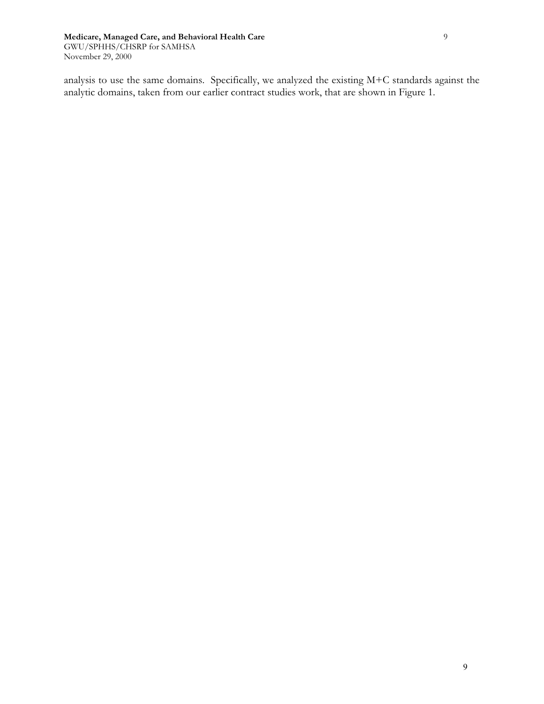analysis to use the same domains. Specifically, we analyzed the existing M+C standards against the analytic domains, taken from our earlier contract studies work, that are shown in Figure 1.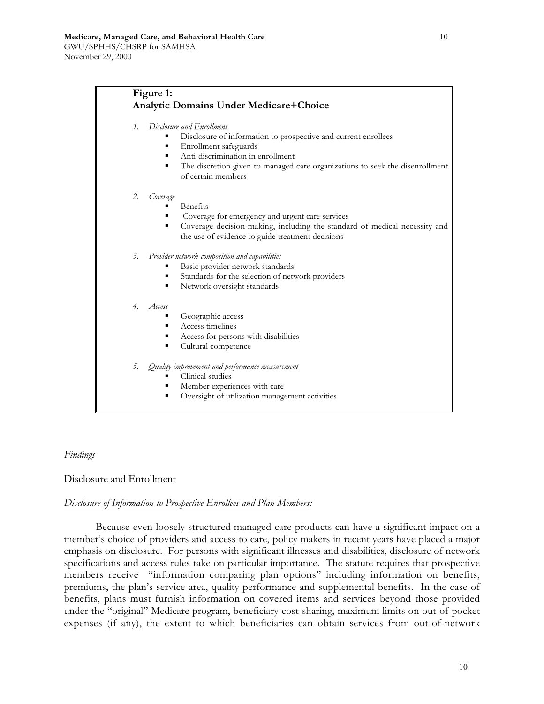# **Figure 1: Analytic Domains Under Medicare+Choice**

- *1. Disclosure and Enrollment*
	- Disclosure of information to prospective and current enrollees
	- $\blacksquare$  Enrollment safeguards
	- Anti-discrimination in enrollment
	- The discretion given to managed care organizations to seek the disenrollment of certain members

#### *2. Coverage*

- **Benefits**
- Coverage for emergency and urgent care services
- Coverage decision-making, including the standard of medical necessity and the use of evidence to guide treatment decisions
- *3. Provider network composition and capabilities*
	- Basic provider network standards
	- Standards for the selection of network providers
	- Network oversight standards

#### *4. Access*

- Geographic access
- Access timelines
- Access for persons with disabilities
- Cultural competence

*5. Quality improvement and performance measurement*

- **Clinical studies**
- Member experiences with care
- Oversight of utilization management activities

#### *Findings*

# Disclosure and Enrollment

#### *Disclosure of Information to Prospective Enrollees and Plan Members:*

Because even loosely structured managed care products can have a significant impact on a member's choice of providers and access to care, policy makers in recent years have placed a major emphasis on disclosure. For persons with significant illnesses and disabilities, disclosure of network specifications and access rules take on particular importance. The statute requires that prospective members receive "information comparing plan options" including information on benefits, premiums, the plan's service area, quality performance and supplemental benefits. In the case of benefits, plans must furnish information on covered items and services beyond those provided under the "original" Medicare program, beneficiary cost-sharing, maximum limits on out-of-pocket expenses (if any), the extent to which beneficiaries can obtain services from out-of-network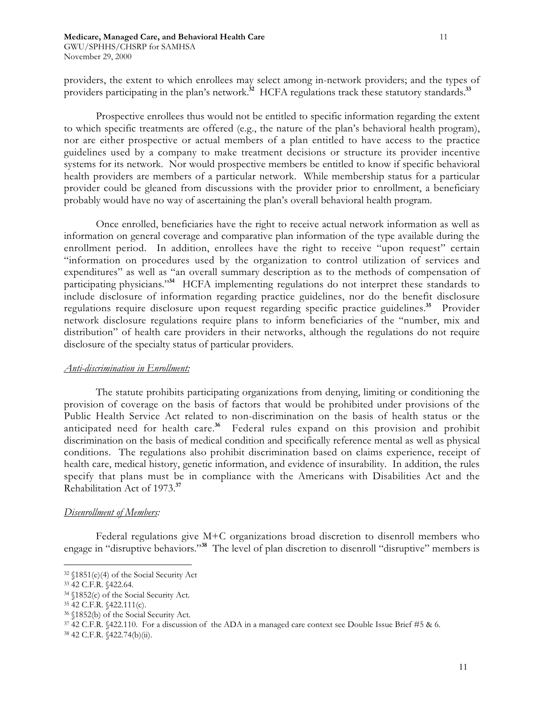providers, the extent to which enrollees may select among in-network providers; and the types of providers participating in the plan's network.<sup>32</sup> HCFA regulations track these statutory standards.<sup>33</sup>

Prospective enrollees thus would not be entitled to specific information regarding the extent to which specific treatments are offered (e.g., the nature of the plan's behavioral health program), nor are either prospective or actual members of a plan entitled to have access to the practice guidelines used by a company to make treatment decisions or structure its provider incentive systems for its network. Nor would prospective members be entitled to know if specific behavioral health providers are members of a particular network. While membership status for a particular provider could be gleaned from discussions with the provider prior to enrollment, a beneficiary probably would have no way of ascertaining the plan's overall behavioral health program.

Once enrolled, beneficiaries have the right to receive actual network information as well as information on general coverage and comparative plan information of the type available during the enrollment period. In addition, enrollees have the right to receive "upon request" certain "information on procedures used by the organization to control utilization of services and expenditures" as well as "an overall summary description as to the methods of compensation of participating physicians."**<sup>34</sup>** HCFA implementing regulations do not interpret these standards to include disclosure of information regarding practice guidelines, nor do the benefit disclosure regulations require disclosure upon request regarding specific practice guidelines.**<sup>35</sup>** Provider network disclosure regulations require plans to inform beneficiaries of the "number, mix and distribution" of health care providers in their networks, although the regulations do not require disclosure of the specialty status of particular providers.

#### *Anti-discrimination in Enrollment:*

The statute prohibits participating organizations from denying, limiting or conditioning the provision of coverage on the basis of factors that would be prohibited under provisions of the Public Health Service Act related to non-discrimination on the basis of health status or the anticipated need for health care.**<sup>36</sup>** Federal rules expand on this provision and prohibit discrimination on the basis of medical condition and specifically reference mental as well as physical conditions. The regulations also prohibit discrimination based on claims experience, receipt of health care, medical history, genetic information, and evidence of insurability. In addition, the rules specify that plans must be in compliance with the Americans with Disabilities Act and the Rehabilitation Act of 1973.**<sup>37</sup>**

#### *Disenrollment of Members:*

Federal regulations give M+C organizations broad discretion to disenroll members who engage in "disruptive behaviors."**<sup>38</sup>** The level of plan discretion to disenroll "disruptive" members is

<sup>32 §1851(</sup>e)(4) of the Social Security Act

<sup>33 42</sup> C.F.R. §422.64.

<sup>34 §1852(</sup>c) of the Social Security Act.

<sup>35 42</sup> C.F.R. §422.111(c).

<sup>36 §1852(</sup>b) of the Social Security Act.

<sup>37 42</sup> C.F.R. §422.110. For a discussion of the ADA in a managed care context see Double Issue Brief #5 & 6.

<sup>38 42</sup> C.F.R. §422.74(b)(ii).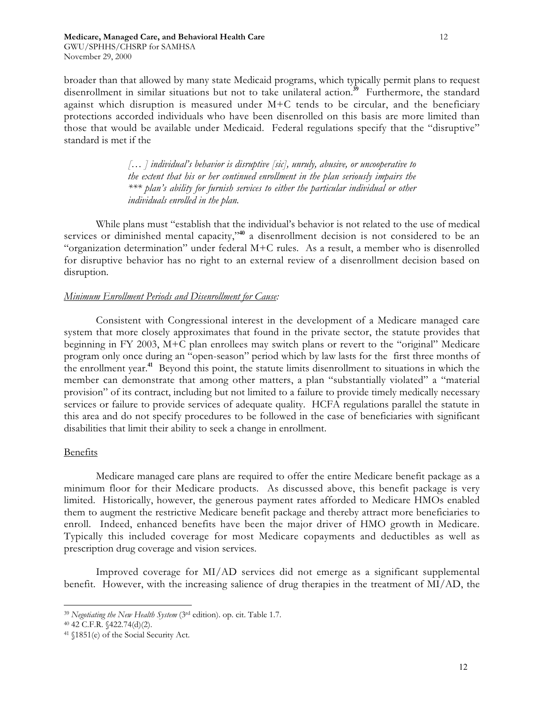broader than that allowed by many state Medicaid programs, which typically permit plans to request disenrollment in similar situations but not to take unilateral action.**<sup>39</sup>** Furthermore, the standard against which disruption is measured under M+C tends to be circular, and the beneficiary protections accorded individuals who have been disenrolled on this basis are more limited than those that would be available under Medicaid. Federal regulations specify that the "disruptive" standard is met if the

> *[… ] individual's behavior is disruptive [sic], unruly, abusive, or uncooperative to the extent that his or her continued enrollment in the plan seriously impairs the \*\*\* plan's ability for furnish services to either the particular individual or other individuals enrolled in the plan.*

While plans must "establish that the individual's behavior is not related to the use of medical services or diminished mental capacity,"**<sup>40</sup>** a disenrollment decision is not considered to be an "organization determination" under federal M+C rules. As a result, a member who is disenrolled for disruptive behavior has no right to an external review of a disenrollment decision based on disruption.

### *Minimum Enrollment Periods and Disenrollment for Cause:*

Consistent with Congressional interest in the development of a Medicare managed care system that more closely approximates that found in the private sector, the statute provides that beginning in FY 2003, M+C plan enrollees may switch plans or revert to the "original" Medicare program only once during an "open-season" period which by law lasts for the first three months of the enrollment year.**<sup>41</sup>** Beyond this point, the statute limits disenrollment to situations in which the member can demonstrate that among other matters, a plan "substantially violated" a "material provision" of its contract, including but not limited to a failure to provide timely medically necessary services or failure to provide services of adequate quality. HCFA regulations parallel the statute in this area and do not specify procedures to be followed in the case of beneficiaries with significant disabilities that limit their ability to seek a change in enrollment.

#### Benefits

Medicare managed care plans are required to offer the entire Medicare benefit package as a minimum floor for their Medicare products. As discussed above, this benefit package is very limited. Historically, however, the generous payment rates afforded to Medicare HMOs enabled them to augment the restrictive Medicare benefit package and thereby attract more beneficiaries to enroll. Indeed, enhanced benefits have been the major driver of HMO growth in Medicare. Typically this included coverage for most Medicare copayments and deductibles as well as prescription drug coverage and vision services.

Improved coverage for MI/AD services did not emerge as a significant supplemental benefit. However, with the increasing salience of drug therapies in the treatment of MI/AD, the

<sup>39</sup> *Negotiating the New Health System* (3rd edition). op. cit. Table 1.7.

<sup>40 42</sup> C.F.R. §422.74(d)(2).

<sup>41 §1851(</sup>e) of the Social Security Act.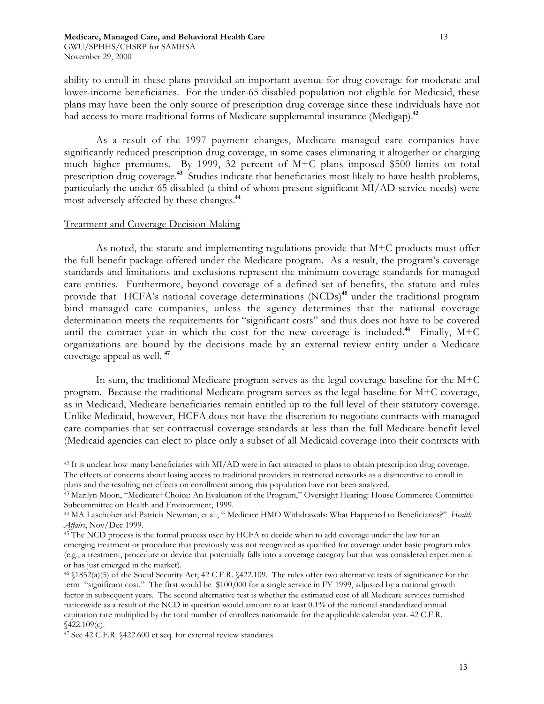ability to enroll in these plans provided an important avenue for drug coverage for moderate and lower-income beneficiaries. For the under-65 disabled population not eligible for Medicaid, these plans may have been the only source of prescription drug coverage since these individuals have not had access to more traditional forms of Medicare supplemental insurance (Medigap).**<sup>42</sup>**

As a result of the 1997 payment changes, Medicare managed care companies have significantly reduced prescription drug coverage, in some cases eliminating it altogether or charging much higher premiums. By 1999, 32 percent of M+C plans imposed \$500 limits on total prescription drug coverage.**<sup>43</sup>** Studies indicate that beneficiaries most likely to have health problems, particularly the under-65 disabled (a third of whom present significant MI/AD service needs) were most adversely affected by these changes.**<sup>44</sup>**

# Treatment and Coverage Decision-Making

As noted, the statute and implementing regulations provide that M+C products must offer the full benefit package offered under the Medicare program. As a result, the program's coverage standards and limitations and exclusions represent the minimum coverage standards for managed care entities. Furthermore, beyond coverage of a defined set of benefits, the statute and rules provide that HCFA's national coverage determinations (NCDs)<sup>45</sup> under the traditional program bind managed care companies, unless the agency determines that the national coverage determination meets the requirements for "significant costs" and thus does not have to be covered until the contract year in which the cost for the new coverage is included.<sup>46</sup> Finally,  $M+C$ organizations are bound by the decisions made by an external review entity under a Medicare coverage appeal as well. **<sup>47</sup>**

In sum, the traditional Medicare program serves as the legal coverage baseline for the M+C program. Because the traditional Medicare program serves as the legal baseline for M+C coverage, as in Medicaid, Medicare beneficiaries remain entitled up to the full level of their statutory coverage. Unlike Medicaid, however, HCFA does not have the discretion to negotiate contracts with managed care companies that set contractual coverage standards at less than the full Medicare benefit level (Medicaid agencies can elect to place only a subset of all Medicaid coverage into their contracts with

plans and the resulting net effects on enrollment among this population have not been analyzed.

 $42$  It is unclear how many beneficiaries with MI/AD were in fact attracted to plans to obtain prescription drug coverage. The effects of concerns about losing access to traditional providers in restricted networks as a disincentive to enroll in

<sup>43</sup> Marilyn Moon, "Medicare+Choice: An Evaluation of the Program," Oversight Hearing: House Commerce Committee Subcommittee on Health and Environment, 1999.

<sup>44</sup> MA Laschober and Patricia Newman, et al., " Medicare HMO Withdrawals: What Happened to Beneficiaries?" *Health Affairs*, Nov/Dec 1999.

<sup>45</sup> The NCD process is the formal process used by HCFA to decide when to add coverage under the law for an emerging treatment or procedure that previously was not recognized as qualified for coverage under basic program rules (e.g., a treatment, procedure or device that potentially falls into a coverage category but that was considered experimental or has just emerged in the market).

<sup>46 §1852(</sup>a)(5) of the Social Security Act; 42 C.F.R. §422.109. The rules offer two alternative tests of significance for the term "significant cost." The first would be \$100,000 for a single service in FY 1999, adjusted by a national growth factor in subsequent years. The second alternative test is whether the estimated cost of all Medicare services furnished nationwide as a result of the NCD in question would amount to at least 0.1% of the national standardized annual capitation rate multiplied by the total number of enrollees nationwide for the applicable calendar year. 42 C.F.R. §422.109(c).

<sup>&</sup>lt;sup>47</sup> See 42 C.F.R. §422.600 et seq. for external review standards.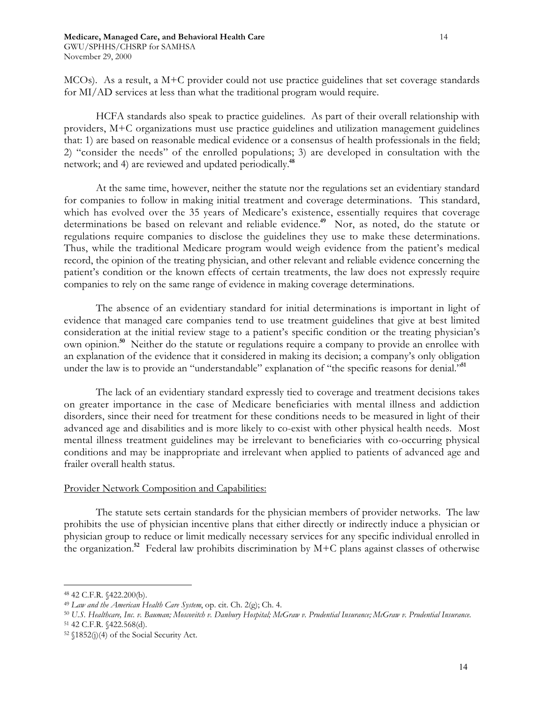MCOs). As a result, a M+C provider could not use practice guidelines that set coverage standards for MI/AD services at less than what the traditional program would require.

HCFA standards also speak to practice guidelines. As part of their overall relationship with providers, M+C organizations must use practice guidelines and utilization management guidelines that: 1) are based on reasonable medical evidence or a consensus of health professionals in the field; 2) "consider the needs" of the enrolled populations; 3) are developed in consultation with the network; and 4) are reviewed and updated periodically.**<sup>48</sup>**

At the same time, however, neither the statute nor the regulations set an evidentiary standard for companies to follow in making initial treatment and coverage determinations. This standard, which has evolved over the 35 years of Medicare's existence, essentially requires that coverage determinations be based on relevant and reliable evidence.**<sup>49</sup>** Nor, as noted, do the statute or regulations require companies to disclose the guidelines they use to make these determinations. Thus, while the traditional Medicare program would weigh evidence from the patient's medical record, the opinion of the treating physician, and other relevant and reliable evidence concerning the patient's condition or the known effects of certain treatments, the law does not expressly require companies to rely on the same range of evidence in making coverage determinations.

The absence of an evidentiary standard for initial determinations is important in light of evidence that managed care companies tend to use treatment guidelines that give at best limited consideration at the initial review stage to a patient's specific condition or the treating physician's own opinion.**<sup>50</sup>** Neither do the statute or regulations require a company to provide an enrollee with an explanation of the evidence that it considered in making its decision; a company's only obligation under the law is to provide an "understandable" explanation of "the specific reasons for denial."**<sup>51</sup>**

The lack of an evidentiary standard expressly tied to coverage and treatment decisions takes on greater importance in the case of Medicare beneficiaries with mental illness and addiction disorders, since their need for treatment for these conditions needs to be measured in light of their advanced age and disabilities and is more likely to co-exist with other physical health needs. Most mental illness treatment guidelines may be irrelevant to beneficiaries with co-occurring physical conditions and may be inappropriate and irrelevant when applied to patients of advanced age and frailer overall health status.

# Provider Network Composition and Capabilities:

The statute sets certain standards for the physician members of provider networks. The law prohibits the use of physician incentive plans that either directly or indirectly induce a physician or physician group to reduce or limit medically necessary services for any specific individual enrolled in the organization.**<sup>52</sup>** Federal law prohibits discrimination by M+C plans against classes of otherwise

<sup>48 42</sup> C.F.R. §422.200(b).

<sup>49</sup> *Law and the American Health Care System*, op. cit. Ch. 2(g); Ch. 4.

<sup>50</sup> *U.S. Healthcare, Inc. v. Bauman; Moscovitch v. Danbury Hospital;McGraw v. Prudential Insurance; McGraw v. Prudential Insurance.* 51 42 C.F.R. §422.568(d).

<sup>52 §1852(</sup>j)(4) of the Social Security Act.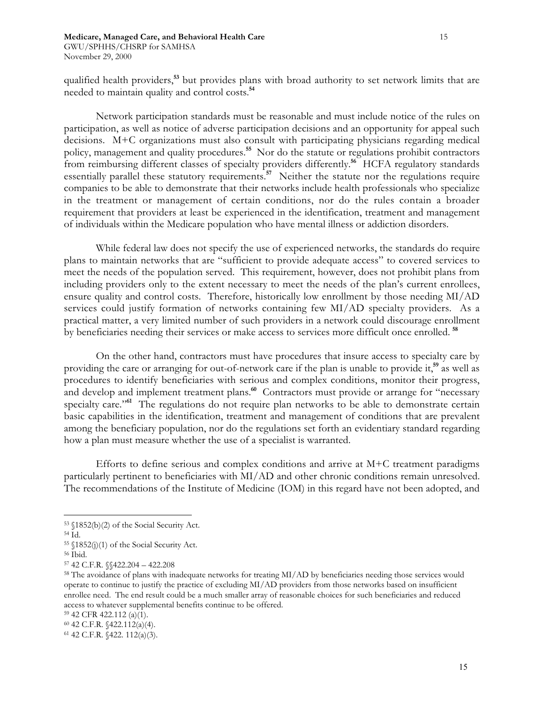qualified health providers,**<sup>53</sup>** but provides plans with broad authority to set network limits that are needed to maintain quality and control costs.**<sup>54</sup>**

Network participation standards must be reasonable and must include notice of the rules on participation, as well as notice of adverse participation decisions and an opportunity for appeal such decisions. M+C organizations must also consult with participating physicians regarding medical policy, management and quality procedures.**<sup>55</sup>** Nor do the statute or regulations prohibit contractors from reimbursing different classes of specialty providers differently.<sup>56</sup> HCFA regulatory standards essentially parallel these statutory requirements.<sup>57</sup> Neither the statute nor the regulations require companies to be able to demonstrate that their networks include health professionals who specialize in the treatment or management of certain conditions, nor do the rules contain a broader requirement that providers at least be experienced in the identification, treatment and management of individuals within the Medicare population who have mental illness or addiction disorders.

While federal law does not specify the use of experienced networks, the standards do require plans to maintain networks that are "sufficient to provide adequate access" to covered services to meet the needs of the population served. This requirement, however, does not prohibit plans from including providers only to the extent necessary to meet the needs of the plan's current enrollees, ensure quality and control costs. Therefore, historically low enrollment by those needing MI/AD services could justify formation of networks containing few MI/AD specialty providers. As a practical matter, a very limited number of such providers in a network could discourage enrollment by beneficiaries needing their services or make access to services more difficult once enrolled. **<sup>58</sup>**

On the other hand, contractors must have procedures that insure access to specialty care by providing the care or arranging for out-of-network care if the plan is unable to provide it,**<sup>59</sup>** as well as procedures to identify beneficiaries with serious and complex conditions, monitor their progress, and develop and implement treatment plans.**<sup>60</sup>** Contractors must provide or arrange for "necessary specialty care."<sup>61</sup> The regulations do not require plan networks to be able to demonstrate certain basic capabilities in the identification, treatment and management of conditions that are prevalent among the beneficiary population, nor do the regulations set forth an evidentiary standard regarding how a plan must measure whether the use of a specialist is warranted.

Efforts to define serious and complex conditions and arrive at  $M+C$  treatment paradigms particularly pertinent to beneficiaries with MI/AD and other chronic conditions remain unresolved. The recommendations of the Institute of Medicine (IOM) in this regard have not been adopted, and

<sup>53 §1852(</sup>b)(2) of the Social Security Act.

<sup>54</sup> Id.

<sup>55 §1852(</sup>j)(1) of the Social Security Act.

<sup>56</sup> Ibid.

<sup>57 42</sup> C.F.R. §§422.204 – 422.208

<sup>&</sup>lt;sup>58</sup> The avoidance of plans with inadequate networks for treating MI/AD by beneficiaries needing those services would operate to continue to justify the practice of excluding MI/AD providers from those networks based on insufficient enrollee need. The end result could be a much smaller array of reasonable choices for such beneficiaries and reduced access to whatever supplemental benefits continue to be offered.

<sup>59 42</sup> CFR 422.112 (a)(1).

<sup>60 42</sup> C.F.R. §422.112(a)(4).

<sup>61 42</sup> C.F.R. §422. 112(a)(3).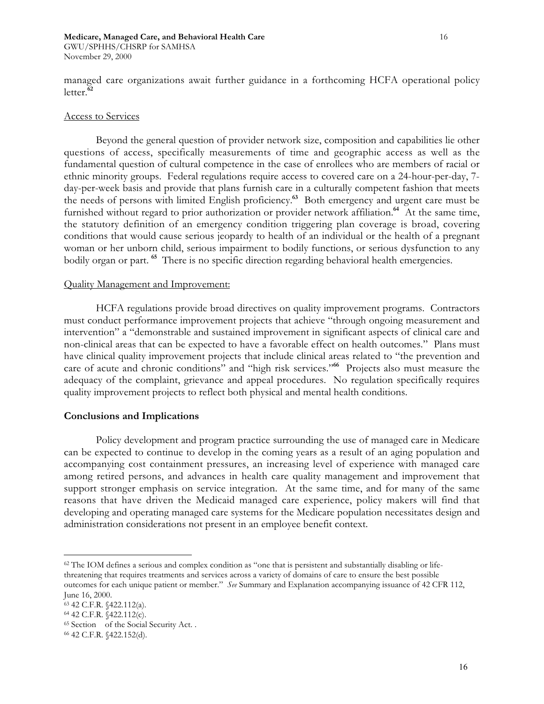#### **Medicare, Managed Care, and Behavioral Health Care** 16

GWU/SPHHS/CHSRP for SAMHSA November 29, 2000

managed care organizations await further guidance in a forthcoming HCFA operational policy letter.**<sup>62</sup>**

#### Access to Services

Beyond the general question of provider network size, composition and capabilities lie other questions of access, specifically measurements of time and geographic access as well as the fundamental question of cultural competence in the case of enrollees who are members of racial or ethnic minority groups. Federal regulations require access to covered care on a 24-hour-per-day, 7 day-per-week basis and provide that plans furnish care in a culturally competent fashion that meets the needs of persons with limited English proficiency.**<sup>63</sup>** Both emergency and urgent care must be furnished without regard to prior authorization or provider network affiliation.**<sup>64</sup>** At the same time, the statutory definition of an emergency condition triggering plan coverage is broad, covering conditions that would cause serious jeopardy to health of an individual or the health of a pregnant woman or her unborn child, serious impairment to bodily functions, or serious dysfunction to any bodily organ or part. **<sup>65</sup>** There is no specific direction regarding behavioral health emergencies.

#### Quality Management and Improvement:

HCFA regulations provide broad directives on quality improvement programs. Contractors must conduct performance improvement projects that achieve "through ongoing measurement and intervention" a "demonstrable and sustained improvement in significant aspects of clinical care and non-clinical areas that can be expected to have a favorable effect on health outcomes." Plans must have clinical quality improvement projects that include clinical areas related to "the prevention and care of acute and chronic conditions" and "high risk services."**<sup>66</sup>** Projects also must measure the adequacy of the complaint, grievance and appeal procedures. No regulation specifically requires quality improvement projects to reflect both physical and mental health conditions.

# **Conclusions and Implications**

Policy development and program practice surrounding the use of managed care in Medicare can be expected to continue to develop in the coming years as a result of an aging population and accompanying cost containment pressures, an increasing level of experience with managed care among retired persons, and advances in health care quality management and improvement that support stronger emphasis on service integration. At the same time, and for many of the same reasons that have driven the Medicaid managed care experience, policy makers will find that developing and operating managed care systems for the Medicare population necessitates design and administration considerations not present in an employee benefit context.

 $62$  The IOM defines a serious and complex condition as "one that is persistent and substantially disabling or lifethreatening that requires treatments and services across a variety of domains of care to ensure the best possible outcomes for each unique patient or member." *See* Summary and Explanation accompanying issuance of 42 CFR 112, June 16, 2000.

<sup>63 42</sup> C.F.R. §422.112(a).

<sup>64 42</sup> C.F.R. §422.112(c).

<sup>&</sup>lt;sup>65</sup> Section of the Social Security Act. .

<sup>66 42</sup> C.F.R. §422.152(d).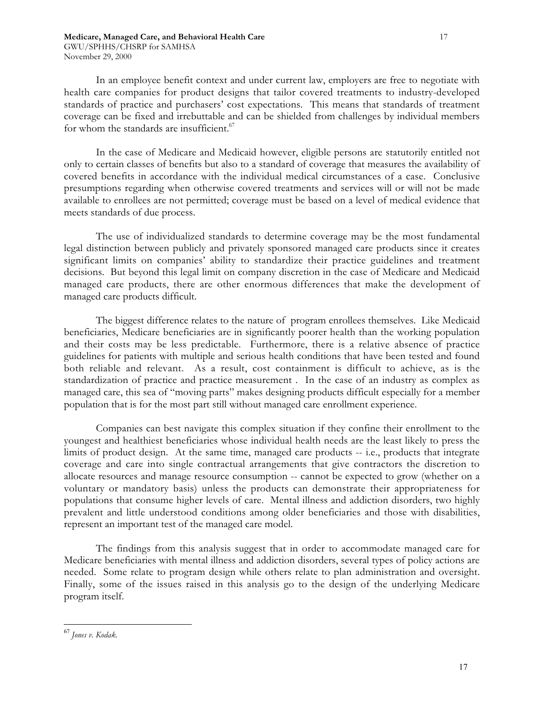In an employee benefit context and under current law, employers are free to negotiate with health care companies for product designs that tailor covered treatments to industry-developed standards of practice and purchasers' cost expectations. This means that standards of treatment coverage can be fixed and irrebuttable and can be shielded from challenges by individual members for whom the standards are insufficient.<sup>67</sup>

In the case of Medicare and Medicaid however, eligible persons are statutorily entitled not only to certain classes of benefits but also to a standard of coverage that measures the availability of covered benefits in accordance with the individual medical circumstances of a case. Conclusive presumptions regarding when otherwise covered treatments and services will or will not be made available to enrollees are not permitted; coverage must be based on a level of medical evidence that meets standards of due process.

The use of individualized standards to determine coverage may be the most fundamental legal distinction between publicly and privately sponsored managed care products since it creates significant limits on companies' ability to standardize their practice guidelines and treatment decisions. But beyond this legal limit on company discretion in the case of Medicare and Medicaid managed care products, there are other enormous differences that make the development of managed care products difficult.

The biggest difference relates to the nature of program enrollees themselves. Like Medicaid beneficiaries, Medicare beneficiaries are in significantly poorer health than the working population and their costs may be less predictable. Furthermore, there is a relative absence of practice guidelines for patients with multiple and serious health conditions that have been tested and found both reliable and relevant. As a result, cost containment is difficult to achieve, as is the standardization of practice and practice measurement . In the case of an industry as complex as managed care, this sea of "moving parts" makes designing products difficult especially for a member population that is for the most part still without managed care enrollment experience.

Companies can best navigate this complex situation if they confine their enrollment to the youngest and healthiest beneficiaries whose individual health needs are the least likely to press the limits of product design. At the same time, managed care products -- i.e., products that integrate coverage and care into single contractual arrangements that give contractors the discretion to allocate resources and manage resource consumption -- cannot be expected to grow (whether on a voluntary or mandatory basis) unless the products can demonstrate their appropriateness for populations that consume higher levels of care. Mental illness and addiction disorders, two highly prevalent and little understood conditions among older beneficiaries and those with disabilities, represent an important test of the managed care model.

The findings from this analysis suggest that in order to accommodate managed care for Medicare beneficiaries with mental illness and addiction disorders, several types of policy actions are needed. Some relate to program design while others relate to plan administration and oversight. Finally, some of the issues raised in this analysis go to the design of the underlying Medicare program itself.

<sup>67</sup> *Jones v. Kodak.*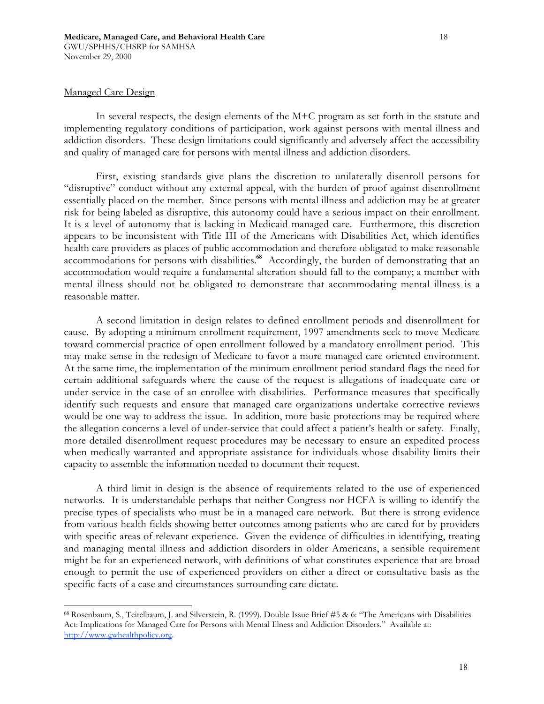#### Managed Care Design

In several respects, the design elements of the M+C program as set forth in the statute and implementing regulatory conditions of participation, work against persons with mental illness and addiction disorders. These design limitations could significantly and adversely affect the accessibility and quality of managed care for persons with mental illness and addiction disorders.

First, existing standards give plans the discretion to unilaterally disenroll persons for "disruptive" conduct without any external appeal, with the burden of proof against disenrollment essentially placed on the member. Since persons with mental illness and addiction may be at greater risk for being labeled as disruptive, this autonomy could have a serious impact on their enrollment. It is a level of autonomy that is lacking in Medicaid managed care. Furthermore, this discretion appears to be inconsistent with Title III of the Americans with Disabilities Act, which identifies health care providers as places of public accommodation and therefore obligated to make reasonable accommodations for persons with disabilities.**<sup>68</sup>** Accordingly, the burden of demonstrating that an accommodation would require a fundamental alteration should fall to the company; a member with mental illness should not be obligated to demonstrate that accommodating mental illness is a reasonable matter.

A second limitation in design relates to defined enrollment periods and disenrollment for cause. By adopting a minimum enrollment requirement, 1997 amendments seek to move Medicare toward commercial practice of open enrollment followed by a mandatory enrollment period. This may make sense in the redesign of Medicare to favor a more managed care oriented environment. At the same time, the implementation of the minimum enrollment period standard flags the need for certain additional safeguards where the cause of the request is allegations of inadequate care or under-service in the case of an enrollee with disabilities. Performance measures that specifically identify such requests and ensure that managed care organizations undertake corrective reviews would be one way to address the issue. In addition, more basic protections may be required where the allegation concerns a level of under-service that could affect a patient's health or safety. Finally, more detailed disenrollment request procedures may be necessary to ensure an expedited process when medically warranted and appropriate assistance for individuals whose disability limits their capacity to assemble the information needed to document their request.

A third limit in design is the absence of requirements related to the use of experienced networks. It is understandable perhaps that neither Congress nor HCFA is willing to identify the precise types of specialists who must be in a managed care network. But there is strong evidence from various health fields showing better outcomes among patients who are cared for by providers with specific areas of relevant experience. Given the evidence of difficulties in identifying, treating and managing mental illness and addiction disorders in older Americans, a sensible requirement might be for an experienced network, with definitions of what constitutes experience that are broad enough to permit the use of experienced providers on either a direct or consultative basis as the specific facts of a case and circumstances surrounding care dictate.

<sup>68</sup> Rosenbaum, S., Teitelbaum, J. and Silverstein, R. (1999). Double Issue Brief #5 & 6: "The Americans with Disabilities Act: Implications for Managed Care for Persons with Mental Illness and Addiction Disorders." Available at: http://www.gwhealthpolicy.org.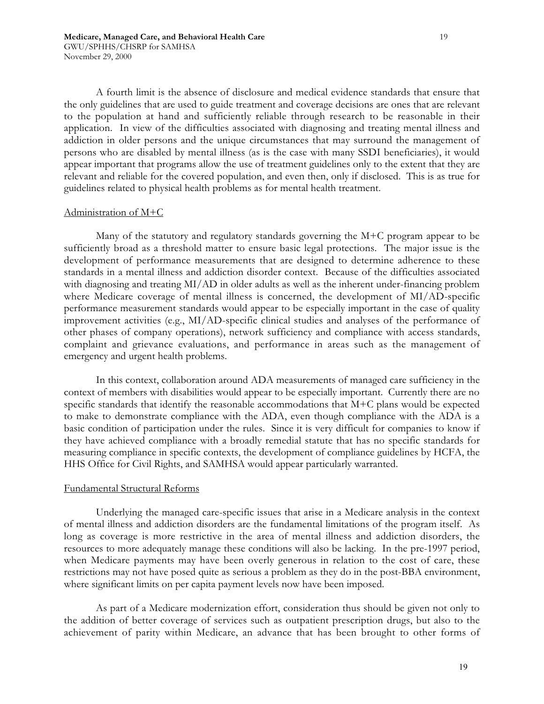A fourth limit is the absence of disclosure and medical evidence standards that ensure that the only guidelines that are used to guide treatment and coverage decisions are ones that are relevant to the population at hand and sufficiently reliable through research to be reasonable in their application. In view of the difficulties associated with diagnosing and treating mental illness and addiction in older persons and the unique circumstances that may surround the management of persons who are disabled by mental illness (as is the case with many SSDI beneficiaries), it would appear important that programs allow the use of treatment guidelines only to the extent that they are relevant and reliable for the covered population, and even then, only if disclosed. This is as true for guidelines related to physical health problems as for mental health treatment.

#### Administration of M+C

Many of the statutory and regulatory standards governing the M+C program appear to be sufficiently broad as a threshold matter to ensure basic legal protections. The major issue is the development of performance measurements that are designed to determine adherence to these standards in a mental illness and addiction disorder context. Because of the difficulties associated with diagnosing and treating MI/AD in older adults as well as the inherent under-financing problem where Medicare coverage of mental illness is concerned, the development of MI/AD-specific performance measurement standards would appear to be especially important in the case of quality improvement activities (e.g., MI/AD-specific clinical studies and analyses of the performance of other phases of company operations), network sufficiency and compliance with access standards, complaint and grievance evaluations, and performance in areas such as the management of emergency and urgent health problems.

In this context, collaboration around ADA measurements of managed care sufficiency in the context of members with disabilities would appear to be especially important. Currently there are no specific standards that identify the reasonable accommodations that M+C plans would be expected to make to demonstrate compliance with the ADA, even though compliance with the ADA is a basic condition of participation under the rules. Since it is very difficult for companies to know if they have achieved compliance with a broadly remedial statute that has no specific standards for measuring compliance in specific contexts, the development of compliance guidelines by HCFA, the HHS Office for Civil Rights, and SAMHSA would appear particularly warranted.

# Fundamental Structural Reforms

Underlying the managed care-specific issues that arise in a Medicare analysis in the context of mental illness and addiction disorders are the fundamental limitations of the program itself. As long as coverage is more restrictive in the area of mental illness and addiction disorders, the resources to more adequately manage these conditions will also be lacking. In the pre-1997 period, when Medicare payments may have been overly generous in relation to the cost of care, these restrictions may not have posed quite as serious a problem as they do in the post-BBA environment, where significant limits on per capita payment levels now have been imposed.

As part of a Medicare modernization effort, consideration thus should be given not only to the addition of better coverage of services such as outpatient prescription drugs, but also to the achievement of parity within Medicare, an advance that has been brought to other forms of